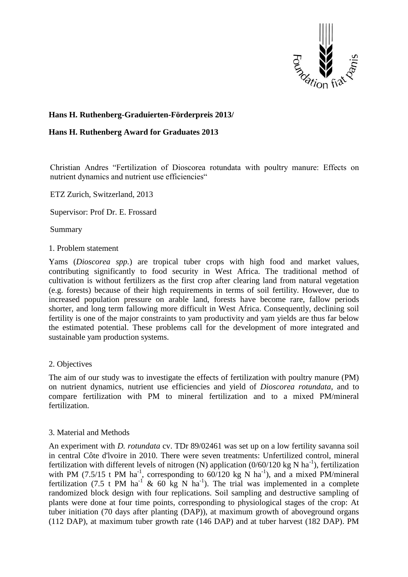

# **Hans H. Ruthenberg-Graduierten-Förderpreis 2013/**

### **Hans H. Ruthenberg Award for Graduates 2013**

Christian Andres "Fertilization of Dioscorea rotundata with poultry manure: Effects on nutrient dynamics and nutrient use efficiencies"

ETZ Zurich, Switzerland, 2013

Supervisor: Prof Dr. E. Frossard

Summary

### 1. Problem statement

Yams (*Dioscorea spp.*) are tropical tuber crops with high food and market values, contributing significantly to food security in West Africa. The traditional method of cultivation is without fertilizers as the first crop after clearing land from natural vegetation (e.g. forests) because of their high requirements in terms of soil fertility. However, due to increased population pressure on arable land, forests have become rare, fallow periods shorter, and long term fallowing more difficult in West Africa. Consequently, declining soil fertility is one of the major constraints to yam productivity and yam yields are thus far below the estimated potential. These problems call for the development of more integrated and sustainable yam production systems.

## 2. Objectives

The aim of our study was to investigate the effects of fertilization with poultry manure (PM) on nutrient dynamics, nutrient use efficiencies and yield of *Dioscorea rotundata*, and to compare fertilization with PM to mineral fertilization and to a mixed PM/mineral fertilization.

## 3. Material and Methods

An experiment with *D. rotundata* cv. TDr 89/02461 was set up on a low fertility savanna soil in central Côte d'lvoire in 2010. There were seven treatments: Unfertilized control, mineral fertilization with different levels of nitrogen (N) application  $(0/60/120 \text{ kg N ha}^{-1})$ , fertilization with PM (7.5/15 t PM ha<sup>-1</sup>, corresponding to  $60/120$  kg N ha<sup>-1</sup>), and a mixed PM/mineral fertilization (7.5 t PM ha<sup>-1</sup> & 60 kg N ha<sup>-1</sup>). The trial was implemented in a complete randomized block design with four replications. Soil sampling and destructive sampling of plants were done at four time points, corresponding to physiological stages of the crop: At tuber initiation (70 days after planting (DAP)), at maximum growth of aboveground organs (112 DAP), at maximum tuber growth rate (146 DAP) and at tuber harvest (182 DAP). PM